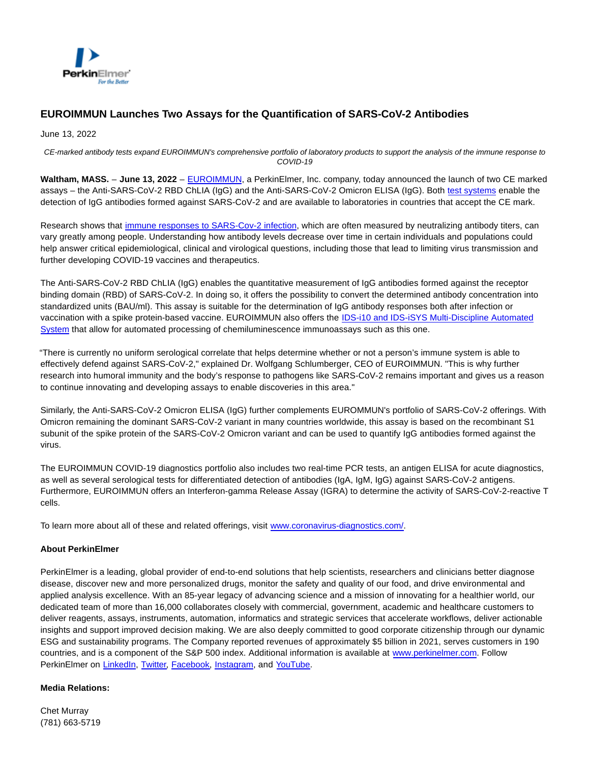

## **EUROIMMUN Launches Two Assays for the Quantification of SARS-CoV-2 Antibodies**

June 13, 2022

CE-marked antibody tests expand EUROIMMUN's comprehensive portfolio of laboratory products to support the analysis of the immune response to COVID-19

**Waltham, MASS.** – **June 13, 2022** – [EUROIMMUN,](http://www.euroimmun.com/) a PerkinElmer, Inc. company, today announced the launch of two CE marked assays – the Anti-SARS-CoV-2 RBD ChLIA (IgG) and the Anti-SARS-CoV-2 Omicron ELISA (IgG). Both [test systems e](https://www.coronavirus-diagnostics.com/)nable the detection of IgG antibodies formed against SARS-CoV-2 and are available to laboratories in countries that accept the CE mark.

Research shows that [immune responses to SARS-Cov-2 infection,](https://www.ncbi.nlm.nih.gov/pmc/articles/PMC7775097/) which are often measured by neutralizing antibody titers, can vary greatly among people. Understanding how antibody levels decrease over time in certain individuals and populations could help answer critical epidemiological, clinical and virological questions, including those that lead to limiting virus transmission and further developing COVID-19 vaccines and therapeutics.

The Anti-SARS-CoV-2 RBD ChLIA (IgG) enables the quantitative measurement of IgG antibodies formed against the receptor binding domain (RBD) of SARS-CoV-2. In doing so, it offers the possibility to convert the determined antibody concentration into standardized units (BAU/ml). This assay is suitable for the determination of IgG antibody responses both after infection or vaccination with a spike protein-based vaccine. EUROIMMUN also offers the [IDS-i10 and IDS-iSYS Multi-Discipline Automated](https://www.euroimmun.de/en/automation/chlia/ids-i10-and-ids-isys/) System that allow for automated processing of chemiluminescence immunoassays such as this one.

"There is currently no uniform serological correlate that helps determine whether or not a person's immune system is able to effectively defend against SARS-CoV-2," explained Dr. Wolfgang Schlumberger, CEO of EUROIMMUN. "This is why further research into humoral immunity and the body's response to pathogens like SARS-CoV-2 remains important and gives us a reason to continue innovating and developing assays to enable discoveries in this area."

Similarly, the Anti-SARS-CoV-2 Omicron ELISA (IgG) further complements EUROMMUN's portfolio of SARS-CoV-2 offerings. With Omicron remaining the dominant SARS-CoV-2 variant in many countries worldwide, this assay is based on the recombinant S1 subunit of the spike protein of the SARS-CoV-2 Omicron variant and can be used to quantify IgG antibodies formed against the virus.

The EUROIMMUN COVID-19 diagnostics portfolio also includes two real-time PCR tests, an antigen ELISA for acute diagnostics, as well as several serological tests for differentiated detection of antibodies (IgA, IgM, IgG) against SARS-CoV-2 antigens. Furthermore, EUROIMMUN offers an Interferon-gamma Release Assay (IGRA) to determine the activity of SARS-CoV-2-reactive T cells.

To learn more about all of these and related offerings, visit [www.coronavirus-diagnostics.com/.](https://ir.perkinelmer.com//C:/Users/QuinnB22235/AppData/Local/Microsoft/Windows/INetCache/Content.Outlook/EY4N0HDW/www.coronavirus-diagnostics.com/)

## **About PerkinElmer**

PerkinElmer is a leading, global provider of end-to-end solutions that help scientists, researchers and clinicians better diagnose disease, discover new and more personalized drugs, monitor the safety and quality of our food, and drive environmental and applied analysis excellence. With an 85-year legacy of advancing science and a mission of innovating for a healthier world, our dedicated team of more than 16,000 collaborates closely with commercial, government, academic and healthcare customers to deliver reagents, assays, instruments, automation, informatics and strategic services that accelerate workflows, deliver actionable insights and support improved decision making. We are also deeply committed to good corporate citizenship through our dynamic ESG and sustainability programs. The Company reported revenues of approximately \$5 billion in 2021, serves customers in 190 countries, and is a component of the S&P 500 index. Additional information is available at [www.perkinelmer.com.](http://www.perkinelmer.com/) Follow PerkinElmer on [LinkedIn,](https://www.linkedin.com/company/perkinelmer) [Twitter,](https://twitter.com/PerkinElmer) [Facebook,](https://www.facebook.com/PerkinElmer) [Instagram,](https://www.instagram.com/perkinelmer/) and [YouTube.](https://www.youtube.com/perkinelmer)

## **Media Relations:**

Chet Murray (781) 663-5719